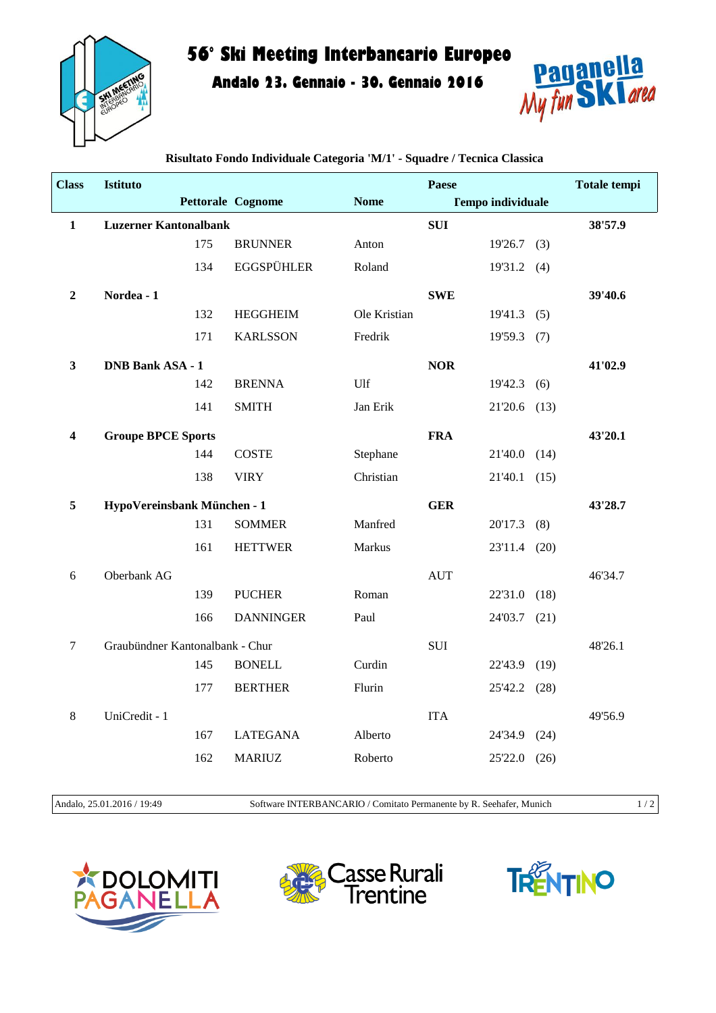

## **56° Ski Meeting Interbancario Europeo**

**Andalo 23. Gennaio - 30. Gennaio 2016**



| <b>Class</b>            | Istituto                        |                             |                          |               | Paese      |                          |      | <b>Totale tempi</b> |
|-------------------------|---------------------------------|-----------------------------|--------------------------|---------------|------------|--------------------------|------|---------------------|
|                         |                                 |                             | <b>Pettorale Cognome</b> | <b>Nome</b>   |            | <b>Tempo individuale</b> |      |                     |
| $\mathbf{1}$            | <b>Luzerner Kantonalbank</b>    |                             |                          |               | <b>SUI</b> |                          |      | 38'57.9             |
|                         |                                 | 175                         | <b>BRUNNER</b>           | Anton         |            | $19'26.7$ (3)            |      |                     |
|                         |                                 | 134                         | <b>EGGSPÜHLER</b>        | Roland        |            | $19'31.2$ (4)            |      |                     |
| $\boldsymbol{2}$        | Nordea - 1                      |                             |                          |               | <b>SWE</b> |                          |      | 39'40.6             |
|                         |                                 | 132                         | <b>HEGGHEIM</b>          | Ole Kristian  |            | $19'41.3$ (5)            |      |                     |
|                         |                                 | 171                         | <b>KARLSSON</b>          | Fredrik       |            | 19'59.3                  | (7)  |                     |
| 3                       | <b>DNB Bank ASA - 1</b>         |                             |                          |               | <b>NOR</b> |                          |      | 41'02.9             |
|                         |                                 | 142                         | <b>BRENNA</b>            | Ulf           |            | 19'42.3                  | (6)  |                     |
|                         |                                 | 141                         | <b>SMITH</b>             | Jan Erik      |            | 21'20.6 (13)             |      |                     |
| $\overline{\mathbf{4}}$ | <b>Groupe BPCE Sports</b>       |                             |                          |               | <b>FRA</b> |                          |      | 43'20.1             |
|                         |                                 | 144                         | <b>COSTE</b>             | Stephane      |            | 21'40.0 (14)             |      |                     |
|                         |                                 | 138                         | <b>VIRY</b>              | Christian     |            | 21'40.1                  | (15) |                     |
| 5                       |                                 | HypoVereinsbank München - 1 |                          |               | <b>GER</b> |                          |      | 43'28.7             |
|                         |                                 | 131                         | <b>SOMMER</b>            | Manfred       |            | 20'17.3                  | (8)  |                     |
|                         |                                 | 161                         | <b>HETTWER</b>           | <b>Markus</b> |            | 23'11.4                  | (20) |                     |
| 6                       | Oberbank AG                     |                             |                          |               | <b>AUT</b> |                          |      | 46'34.7             |
|                         |                                 | 139                         | <b>PUCHER</b>            | Roman         |            | 22'31.0                  | (18) |                     |
|                         |                                 | 166                         | <b>DANNINGER</b>         | Paul          |            | 24'03.7 (21)             |      |                     |
| $\overline{7}$          | Graubündner Kantonalbank - Chur |                             |                          |               | <b>SUI</b> |                          |      | 48'26.1             |
|                         |                                 | 145                         | <b>BONELL</b>            | Curdin        |            | 22'43.9                  | (19) |                     |
|                         |                                 | 177                         | <b>BERTHER</b>           | Flurin        |            | 25'42.2 (28)             |      |                     |
| $\,8\,$                 | UniCredit - 1                   |                             |                          |               | <b>ITA</b> |                          |      | 49'56.9             |
|                         |                                 | 167                         | <b>LATEGANA</b>          | Alberto       |            | 24'34.9                  | (24) |                     |
|                         |                                 | 162                         | <b>MARIUZ</b>            | Roberto       |            | 25'22.0                  | (26) |                     |
|                         |                                 |                             |                          |               |            |                          |      |                     |

**Risultato Fondo Individuale Categoria 'M/1' - Squadre / Tecnica Classica**

Andalo, 25.01.2016 / 19:49 Software INTERBANCARIO / Comitato Permanente by R. Seehafer, Munich 1 / 2

**LOMITI**